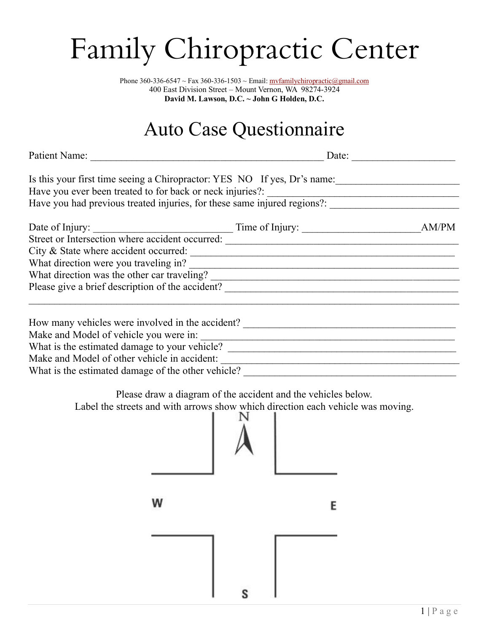## Family Chiropractic Center

Phone 360-336-6547 ~ Fax 360-336-1503 ~ Email: mvfamilychiropractic@gmail.com 400 East Division Street – Mount Vernon, WA 98274-3924 **David M. Lawson, D.C. ~ John G Holden, D.C.**

## Auto Case Questionnaire

Date:  $\Box$ 

| Is this your first time seeing a Chiropractor: YES NO If yes, Dr's name: |                                                                          |       |  |  |  |  |
|--------------------------------------------------------------------------|--------------------------------------------------------------------------|-------|--|--|--|--|
| Have you ever been treated to for back or neck injuries?:                |                                                                          |       |  |  |  |  |
|                                                                          | Have you had previous treated injuries, for these same injured regions?: |       |  |  |  |  |
| Date of Injury:                                                          | Time of Injury: $\frac{1}{2}$                                            | AM/PM |  |  |  |  |
| Street or Intersection where accident occurred:                          |                                                                          |       |  |  |  |  |
| City & State where accident occurred:                                    |                                                                          |       |  |  |  |  |
| What direction were you traveling in?                                    |                                                                          |       |  |  |  |  |
| What direction was the other car traveling?                              |                                                                          |       |  |  |  |  |
| Please give a brief description of the accident?                         |                                                                          |       |  |  |  |  |
|                                                                          |                                                                          |       |  |  |  |  |
| How many vehicles were involved in the accident?                         |                                                                          |       |  |  |  |  |
| Make and Model of vehicle you were in:                                   |                                                                          |       |  |  |  |  |

What is the estimated damage to your vehicle?

Make and Model of other vehicle in accident:

What is the estimated damage of the other vehicle?

Please draw a diagram of the accident and the vehicles below.

Label the streets and with arrows show which direction each vehicle was moving.

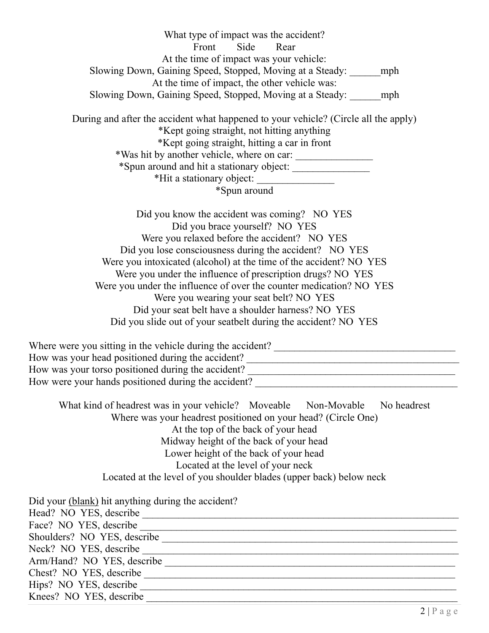What type of impact was the accident? Front Side Rear At the time of impact was your vehicle: Slowing Down, Gaining Speed, Stopped, Moving at a Steady: \_\_\_\_\_\_mph At the time of impact, the other vehicle was: Slowing Down, Gaining Speed, Stopped, Moving at a Steady: mph During and after the accident what happened to your vehicle? (Circle all the apply) \*Kept going straight, not hitting anything

\*Kept going straight, hitting a car in front \*Was hit by another vehicle, where on car: \_\_\_\_\_\_\_\_\_\_\_\_\_\_\_ \*Spun around and hit a stationary object: \_\_\_\_\_\_\_\_\_\_\_\_\_\_\_ \*Hit a stationary object: \_\_\_\_\_\_\_\_\_\_\_\_\_\_\_

\*Spun around

Did you know the accident was coming? NO YES Did you brace yourself? NO YES Were you relaxed before the accident? NO YES Did you lose consciousness during the accident? NO YES Were you intoxicated (alcohol) at the time of the accident? NO YES Were you under the influence of prescription drugs? NO YES Were you under the influence of over the counter medication? NO YES Were you wearing your seat belt? NO YES Did your seat belt have a shoulder harness? NO YES Did you slide out of your seatbelt during the accident? NO YES

Where were you sitting in the vehicle during the accident? \_\_\_\_\_\_\_\_\_\_\_\_\_\_\_\_\_\_\_\_\_\_\_\_\_\_\_\_\_\_\_\_\_\_\_ How was your head positioned during the accident? \_\_\_\_\_\_\_\_\_\_\_\_\_\_\_\_\_\_\_\_\_\_\_\_\_\_\_\_\_\_\_ How was your torso positioned during the accident? \_\_\_\_\_\_\_\_\_\_\_\_\_\_\_\_\_\_\_\_\_\_\_\_\_\_\_\_\_ How were your hands positioned during the accident? \_\_\_\_\_\_\_\_\_\_\_\_\_\_\_\_\_\_\_\_\_\_\_\_\_\_\_\_\_

What kind of headrest was in your vehicle? Moveable Non-Movable No headrest Where was your headrest positioned on your head? (Circle One) At the top of the back of your head Midway height of the back of your head Lower height of the back of your head Located at the level of your neck Located at the level of you shoulder blades (upper back) below neck

| Did your (blank) hit anything during the accident? |
|----------------------------------------------------|
| Head? NO YES, describe                             |
| Face? NO YES, describe                             |
| Shoulders? NO YES, describe                        |
| Neck? NO YES, describe                             |
| Arm/Hand? NO YES, describe                         |
| Chest? NO YES, describe                            |
| Hips? NO YES, describe                             |
| Knees? NO YES, describe                            |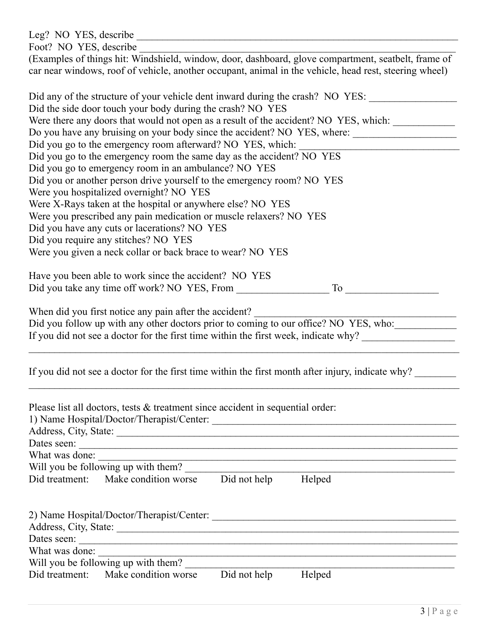| Foot? NO YES, describe                                                                                                                                                                                                                          |  |  |  |  |  |  |
|-------------------------------------------------------------------------------------------------------------------------------------------------------------------------------------------------------------------------------------------------|--|--|--|--|--|--|
| (Examples of things hit: Windshield, window, door, dashboard, glove compartment, seatbelt, frame of                                                                                                                                             |  |  |  |  |  |  |
| car near windows, roof of vehicle, another occupant, animal in the vehicle, head rest, steering wheel)                                                                                                                                          |  |  |  |  |  |  |
|                                                                                                                                                                                                                                                 |  |  |  |  |  |  |
| Did any of the structure of your vehicle dent inward during the crash? NO YES:                                                                                                                                                                  |  |  |  |  |  |  |
| Did the side door touch your body during the crash? NO YES                                                                                                                                                                                      |  |  |  |  |  |  |
| Were there any doors that would not open as a result of the accident? NO YES, which:                                                                                                                                                            |  |  |  |  |  |  |
|                                                                                                                                                                                                                                                 |  |  |  |  |  |  |
| Did you go to the emergency room afterward? NO YES, which:                                                                                                                                                                                      |  |  |  |  |  |  |
| Did you go to the emergency room the same day as the accident? NO YES                                                                                                                                                                           |  |  |  |  |  |  |
| Did you go to emergency room in an ambulance? NO YES                                                                                                                                                                                            |  |  |  |  |  |  |
| Did you or another person drive yourself to the emergency room? NO YES                                                                                                                                                                          |  |  |  |  |  |  |
| Were you hospitalized overnight? NO YES                                                                                                                                                                                                         |  |  |  |  |  |  |
| Were X-Rays taken at the hospital or anywhere else? NO YES                                                                                                                                                                                      |  |  |  |  |  |  |
| Were you prescribed any pain medication or muscle relaxers? NO YES                                                                                                                                                                              |  |  |  |  |  |  |
| Did you have any cuts or lacerations? NO YES                                                                                                                                                                                                    |  |  |  |  |  |  |
| Did you require any stitches? NO YES                                                                                                                                                                                                            |  |  |  |  |  |  |
| Were you given a neck collar or back brace to wear? NO YES                                                                                                                                                                                      |  |  |  |  |  |  |
|                                                                                                                                                                                                                                                 |  |  |  |  |  |  |
| Have you been able to work since the accident? NO YES                                                                                                                                                                                           |  |  |  |  |  |  |
|                                                                                                                                                                                                                                                 |  |  |  |  |  |  |
| When did you first notice any pain after the accident?<br>Did you follow up with any other doctors prior to coming to our office? NO YES, who:<br>If you did not see a doctor for the first time within the first week, indicate why?           |  |  |  |  |  |  |
| If you did not see a doctor for the first time within the first month after injury, indicate why?                                                                                                                                               |  |  |  |  |  |  |
| Please list all doctors, tests & treatment since accident in sequential order:                                                                                                                                                                  |  |  |  |  |  |  |
| What was done:<br><u> 1989 - Johann Stoff, deutscher Stoffen und der Stoffen und der Stoffen und der Stoffen und der Stoffen und der</u>                                                                                                        |  |  |  |  |  |  |
| Will you be following up with them?                                                                                                                                                                                                             |  |  |  |  |  |  |
| Did treatment:<br>Make condition worse<br>Did not help Helped                                                                                                                                                                                   |  |  |  |  |  |  |
|                                                                                                                                                                                                                                                 |  |  |  |  |  |  |
|                                                                                                                                                                                                                                                 |  |  |  |  |  |  |
|                                                                                                                                                                                                                                                 |  |  |  |  |  |  |
|                                                                                                                                                                                                                                                 |  |  |  |  |  |  |
|                                                                                                                                                                                                                                                 |  |  |  |  |  |  |
| What was done:<br>the control of the control of the control of the control of the control of the control of the control of the control of the control of the control of the control of the control of the control of the control of the control |  |  |  |  |  |  |
| Will you be following up with them?                                                                                                                                                                                                             |  |  |  |  |  |  |
| Make condition worse<br>Did treatment:<br>Did not help<br>Helped                                                                                                                                                                                |  |  |  |  |  |  |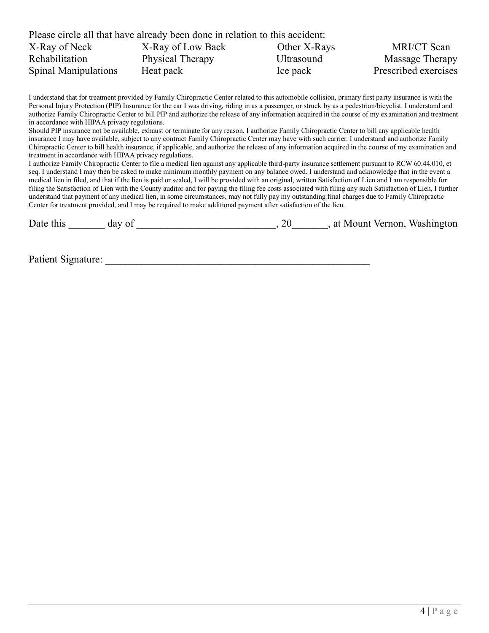|                             | Please circle all that have already been done in relation to this accident: |                   |                      |
|-----------------------------|-----------------------------------------------------------------------------|-------------------|----------------------|
| X-Ray of Neck               | X-Ray of Low Back                                                           | Other X-Rays      | MRI/CT Scan          |
| Rehabilitation              | Physical Therapy                                                            | <b>Ultrasound</b> | Massage Therapy      |
| <b>Spinal Manipulations</b> | Heat pack                                                                   | Ice pack          | Prescribed exercises |

I understand that for treatment provided by Family Chiropractic Center related to this automobile collision, primary first party insurance is with the Personal Injury Protection (PIP) Insurance for the car I was driving, riding in as a passenger, or struck by as a pedestrian/bicyclist. I understand and authorize Family Chiropractic Center to bill PIP and authorize the release of any information acquired in the course of my examination and treatment in accordance with HIPAA privacy regulations.

Should PIP insurance not be available, exhaust or terminate for any reason, I authorize Family Chiropractic Center to bill any applicable health insurance I may have available, subject to any contract Family Chiropractic Center may have with such carrier. I understand and authorize Family Chiropractic Center to bill health insurance, if applicable, and authorize the release of any information acquired in the course of my examination and treatment in accordance with HIPAA privacy regulations.

I authorize Family Chiropractic Center to file a medical lien against any applicable third-party insurance settlement pursuant to RCW 60.44.010, et seq. I understand I may then be asked to make minimum monthly payment on any balance owed. I understand and acknowledge that in the event a medical lien in filed, and that if the lien is paid or sealed, I will be provided with an original, written Satisfaction of Lien and I am responsible for filing the Satisfaction of Lien with the County auditor and for paying the filing fee costs associated with filing any such Satisfaction of Lien, I further understand that payment of any medical lien, in some circumstances, may not fully pay my outstanding final charges due to Family Chiropractic Center for treatment provided, and I may be required to make additional payment after satisfaction of the lien.

| Date this | day of |  | at Mount Vernon, Washington |
|-----------|--------|--|-----------------------------|
|           |        |  |                             |

Patient Signature: